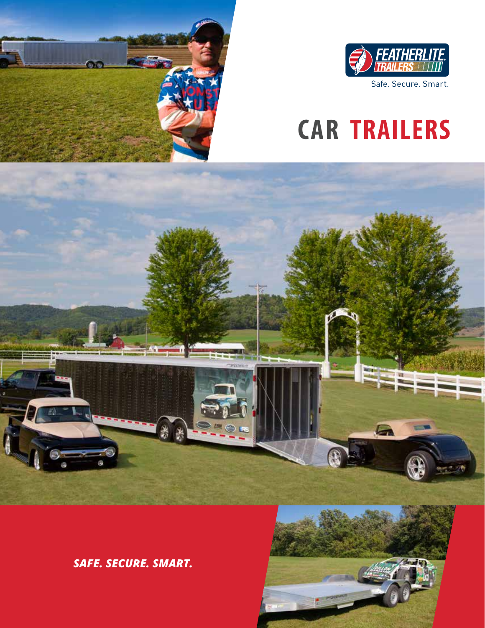



Safe. Secure. Smart.

# **CAR TRAILERS**



*SAFE. SECURE. SMART.*

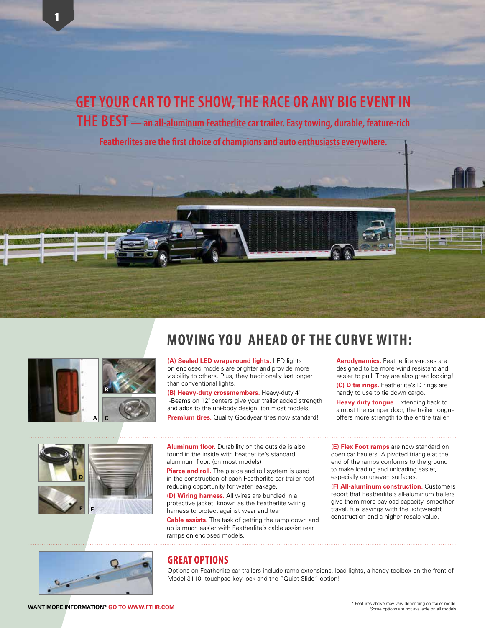### **GET YOUR CAR TO THE SHOW, THE RACE OR ANY BIG EVENT IN**

**THE BEST — an all-aluminum Featherlite car trailer. Easy towing, durable, feature-rich** 

**Featherlites are the first choice of champions and auto enthusiasts everywhere.**





1



on enclosed models are brighter and provide more visibility to others. Plus, they traditionally last longer than conventional lights.

**(B) Heavy-duty crossmembers.** Heavy-duty 4" I-Beams on 12" centers give your trailer added strength and adds to the uni-body design. (on most models) **Premium tires.** Quality Goodyear tires now standard!



**Aluminum floor.** Durability on the outside is also found in the inside with Featherlite's standard aluminum floor. (on most models)

**Pierce and roll.** The pierce and roll system is used in the construction of each Featherlite car trailer roof reducing opportunity for water leakage.

**(D) Wiring harness.** All wires are bundled in a protective jacket, known as the Featherlite wiring harness to protect against wear and tear.

**Cable assists.** The task of getting the ramp down and up is much easier with Featherlite's cable assist rear ramps on enclosed models.

**Aerodynamics.** Featherlite v-noses are designed to be more wind resistant and easier to pull. They are also great looking!

**(C) D tie rings.** Featherlite's D rings are handy to use to tie down cargo.

**Heavy duty tongue.** Extending back to almost the camper door, the trailer tongue offers more strength to the entire trailer.

**(E) Flex Foot ramps** are now standard on open car haulers. A pivoted triangle at the end of the ramps conforms to the ground to make loading and unloading easier, especially on uneven surfaces.

**(F) All-aluminum construction.** Customers report that Featherlite's all-aluminum trailers give them more payload capacity, smoother travel, fuel savings with the lightweight construction and a higher resale value.



#### **GREAT OPTIONS**

Options on Featherlite car trailers include ramp extensions, load lights, a handy toolbox on the front of Model 3110, touchpad key lock and the "Quiet Slide" option!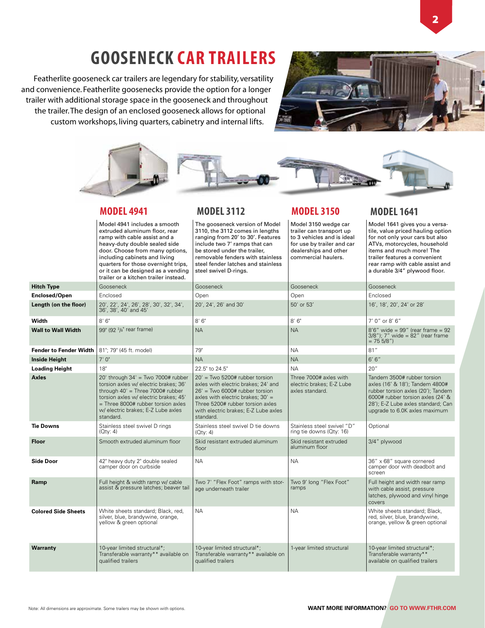# **GOOSENECK CAR TRAILERS**

Featherlite gooseneck car trailers are legendary for stability, versatility and convenience. Featherlite goosenecks provide the option for a longer trailer with additional storage space in the gooseneck and throughout the trailer. The design of an enclosed gooseneck allows for optional custom workshops, living quarters, cabinetry and internal lifts.



2

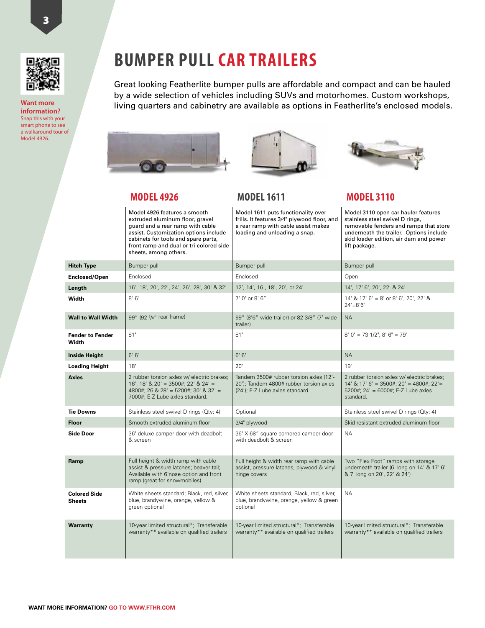

**Want more information?**  Snap this with your smart phone to see a walkaround tour of Model 4926.

### **BUMPER PULL CAR TRAILERS**

Great looking Featherlite bumper pulls are affordable and compact and can be hauled by a wide selection of vehicles including SUVs and motorhomes. Custom workshops, living quarters and cabinetry are available as options in Featherlite's enclosed models.



Model 4926 features a smooth extruded aluminum floor, gravel



**MODEL 4926 MODEL 1611 MODEL 3110**

Model 1611 puts functionality over frills. It features 3/4" plywood floor, and | stainless steel swivel D rings,

Model 3110 open car hauler features underneath the trailer. Options include skid loader edition, air dam and power

| guard and a rear ramp with cable<br>assist. Customization options include<br>cabinets for tools and spare parts,<br>front ramp and dual or tri-colored side<br>sheets, among others. | a rear ramp with cable assist makes<br>loading and unloading a snap.                                                 | removable fenders and ramps that store<br>underneath the trailer. Options include<br>skid loader edition, air dam and power<br>lift package.    |  |
|--------------------------------------------------------------------------------------------------------------------------------------------------------------------------------------|----------------------------------------------------------------------------------------------------------------------|-------------------------------------------------------------------------------------------------------------------------------------------------|--|
| Bumper pull                                                                                                                                                                          | Bumper pull                                                                                                          | Bumper pull                                                                                                                                     |  |
| Enclosed                                                                                                                                                                             | Enclosed                                                                                                             | Open                                                                                                                                            |  |
| 16', 18', 20', 22', 24', 26', 28', 30' & 32'                                                                                                                                         | 12', 14', 16', 18', 20', or 24'                                                                                      | 14', 17' 6", 20', 22' & 24'                                                                                                                     |  |
| 8'6''                                                                                                                                                                                | 7' 0" or 8' 6"                                                                                                       | $14'$ & $17'$ 6" = 8' or 8' 6"; 20', 22' &<br>$24' = 8'6''$                                                                                     |  |
| 99" (92 3/8" rear frame)                                                                                                                                                             | 99" (8'6" wide trailer) or 82 3/8" (7' wide<br>trailer)                                                              | <b>NA</b>                                                                                                                                       |  |
| 81"                                                                                                                                                                                  | 81"                                                                                                                  | $8' 0'' = 73 1/2''$ ; $8' 6'' = 79''$                                                                                                           |  |
| 6' 6''                                                                                                                                                                               | 6'6''                                                                                                                | <b>NA</b>                                                                                                                                       |  |
| 18"                                                                                                                                                                                  | 20"                                                                                                                  | 19"                                                                                                                                             |  |
| 2 rubber torsion axles w/ electric brakes;<br>$16'$ , $18'$ & $20'$ = 3500#; 22' & 24' =<br>4800#; 26'& 28' = 5200#; 30' & 32' =<br>7000#; E-Z Lube axles standard.                  | Tandem 3500# rubber torsion axles (12'-<br>20'): Tandem 4800# rubber torsion axles<br>(24'); E-Z Lube axles standard | 2 rubber torsion axles w/ electric brakes;<br>$14'$ & $17'$ 6" = 3500#; 20' = 4800#; 22'=<br>5200#; $24' = 6000#$ ; E-Z Lube axles<br>standard. |  |
| Stainless steel swivel D rings (Qty: 4)                                                                                                                                              | Optional                                                                                                             | Stainless steel swivel D rings (Qty: 4)                                                                                                         |  |
| Smooth extruded aluminum floor                                                                                                                                                       | 3/4" plywood                                                                                                         | Skid resistant extruded aluminum floor                                                                                                          |  |
| 36" deluxe camper door with deadbolt<br>& screen                                                                                                                                     | 36" X 68" square cornered camper door<br>with deadbolt & screen                                                      | <b>NA</b>                                                                                                                                       |  |
| Full height & width ramp with cable<br>assist & pressure latches; beaver tail;<br>Available with 6'nose option and front<br>ramp (great for snowmobiles)                             | Full height & width rear ramp with cable<br>assist, pressure latches, plywood & vinyl<br>hinge covers                | Two "Flex Foot" ramps with storage<br>underneath trailer (6' long on 14' & 17' 6"<br>& 7' long on 20', 22' & 24')                               |  |
| White sheets standard; Black, red, silver,<br>blue, brandywine, orange, yellow &<br>green optional                                                                                   | <b>NA</b><br>White sheets standard; Black, red, silver,<br>blue, brandywine, orange, yellow & green<br>optional      |                                                                                                                                                 |  |
| 10-year limited structural*; Transferable<br>warranty** available on qualified trailers                                                                                              | 10-year limited structural*; Transferable<br>warranty** available on qualified trailers                              | 10-year limited structural*; Transferable<br>warranty** available on qualified trailers                                                         |  |
|                                                                                                                                                                                      |                                                                                                                      |                                                                                                                                                 |  |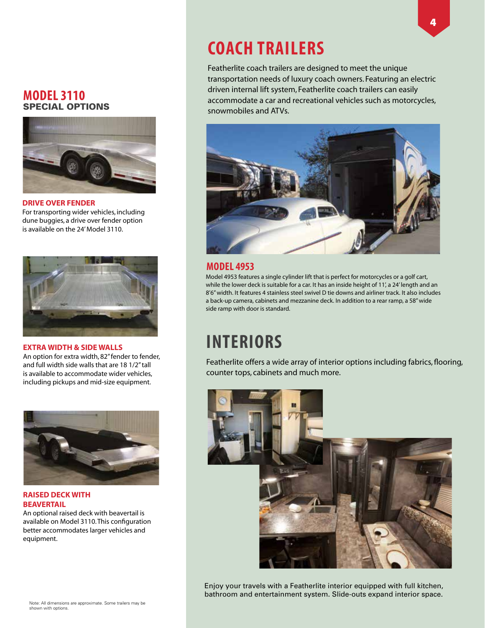### **MODEL 3110** SPECIAL OPTIONS



**DRIVE OVER FENDER** For transporting wider vehicles, including dune buggies, a drive over fender option is available on the 24' Model 3110.



#### **EXTRA WIDTH & SIDE WALLS**

An option for extra width, 82" fender to fender. and full width side walls that are 18 1/2" tall is available to accommodate wider vehicles, including pickups and mid-size equipment.



#### **RAISED DECK WITH BEAVERTAIL**

An optional raised deck with beavertail is available on Model 3110. This configuration better accommodates larger vehicles and equipment.

## **COACH TRAILERS**

Featherlite coach trailers are designed to meet the unique transportation needs of luxury coach owners. Featuring an electric driven internal lift system, Featherlite coach trailers can easily accommodate a car and recreational vehicles such as motorcycles, snowmobiles and ATVs.



#### **MODEL 4953**

Model 4953 features a single cylinder lift that is perfect for motorcycles or a golf cart, while the lower deck is suitable for a car. It has an inside height of 11', a 24' length and an 8'6" width. It features 4 stainless steel swivel D tie downs and airliner track. It also includes a back-up camera, cabinets and mezzanine deck. In addition to a rear ramp, a 58" wide side ramp with door is standard.

### **INTERIORS**

Featherlite offers a wide array of interior options including fabrics, flooring, counter tops, cabinets and much more.



Enjoy your travels with a Featherlite interior equipped with full kitchen, bathroom and entertainment system. Slide-outs expand interior space.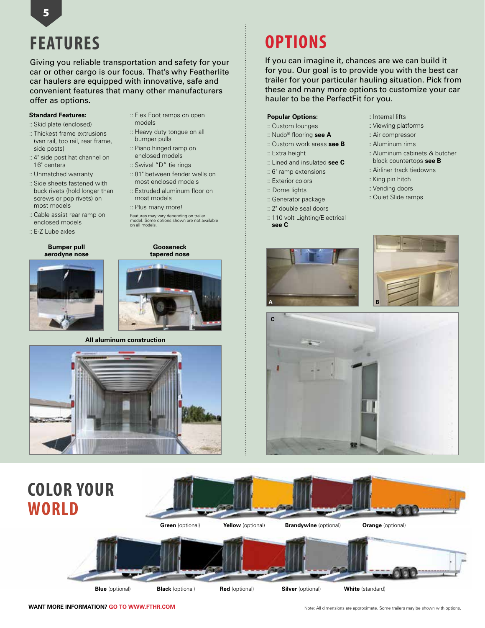

Giving you reliable transportation and safety for your car or other cargo is our focus. That's why Featherlite car haulers are equipped with innovative, safe and convenient features that many other manufacturers offer as options.

#### **Standard Features:**

- :: Skid plate (enclosed)
- :: Thickest frame extrusions (van rail, top rail, rear frame, side posts)
- :: 4" side post hat channel on 16" centers
- :: Unmatched warranty
- :: Side sheets fastened with buck rivets (hold longer than screws or pop rivets) on most models
- :: Cable assist rear ramp on enclosed models
- :: E-Z Lube axles

**Bumper pull aerodyne nose**



- :: Flex Foot ramps on open models
- :: Heavy duty tongue on all bumper pulls
- :: Piano hinged ramp on enclosed models
- :: Swivel "D" tie rings
- :: 81" between fender wells on
- most enclosed models
- :: Extruded aluminum floor on most models
- :: Plus many more!

Features may vary depending on trailer model. Some options shown are not available on all models.



#### **All aluminum construction**



### **COLOR YOUR WORLD**



# **OPTIONS**

If you can imagine it, chances are we can build it for you. Our goal is to provide you with the best car trailer for your particular hauling situation. Pick from these and many more options to customize your car hauler to be the PerfectFit for you.

#### **Popular Options:**

- :: Custom lounges
- :: Nudo® flooring **see A**
- :: Custom work areas **see B**
- :: Extra height
- :: Lined and insulated **see C**
- :: 6' ramp extensions
- :: Exterior colors
- :: Dome lights
- :: Generator package
- :: 2" double seal doors
- :: 110 volt Lighting/Electrical **see C**
- :: Internal lifts
- :: Viewing platforms
- :: Air compressor
- :: Aluminum rims
- :: Aluminum cabinets & butcher block countertops **see B**
- :: Airliner track tiedowns
- :: King pin hitch
- :: Vending doors
- :: Quiet Slide ramps





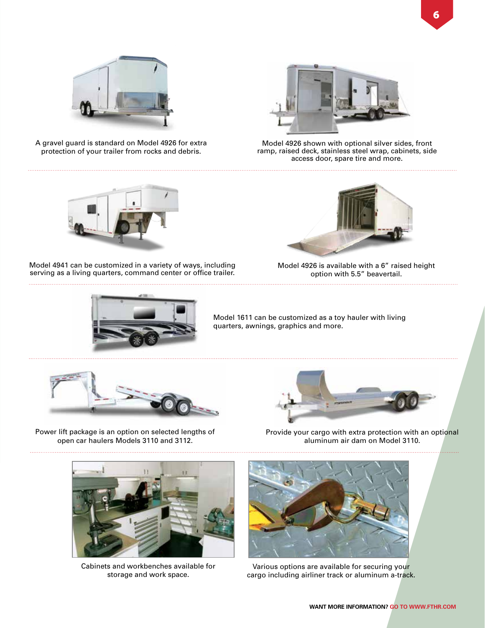

A gravel guard is standard on Model 4926 for extra protection of your trailer from rocks and debris.



Model 4926 shown with optional silver sides, front ramp, raised deck, stainless steel wrap, cabinets, side access door, spare tire and more.



Model 4941 can be customized in a variety of ways, including serving as a living quarters, command center or office trailer.



Model 1611 can be customized as a toy hauler with living

quarters, awnings, graphics and more.



Power lift package is an option on selected lengths of open car haulers Models 3110 and 3112.



Model 4926 is available with a 6" raised height option with 5.5" beavertail.

Provide your cargo with extra protection with an optional aluminum air dam on Model 3110.



Cabinets and workbenches available for storage and work space.



Various options are available for securing your cargo including airliner track or aluminum a-track.